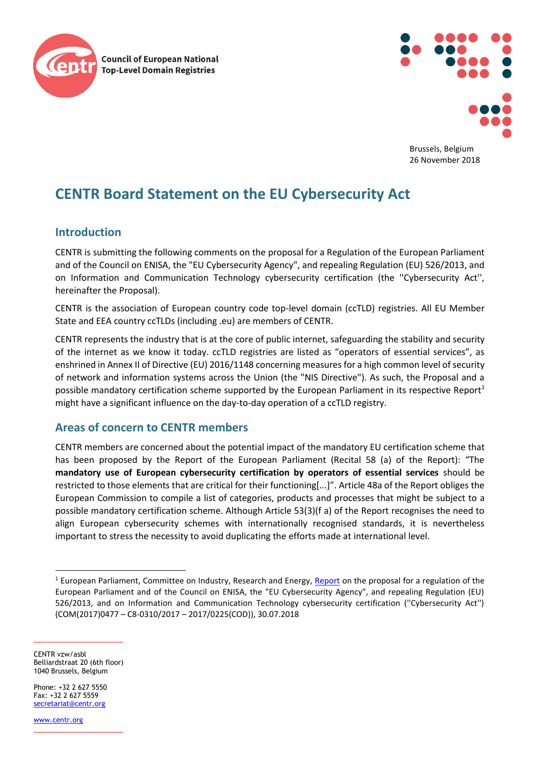



Brussels, Belgium 26 November 2018

## **CENTR Board Statement on the EU Cybersecurity Act**

## **Introduction**

CENTR is submitting the following comments on the proposal for a Regulation of the European Parliament and of the Council on ENISA, the "EU Cybersecurity Agency", and repealing Regulation (EU) 526/2013, and on Information and Communication Technology cybersecurity certification (the ''Cybersecurity Act'', hereinafter the Proposal).

CENTR is the association of European country code top-level domain (ccTLD) registries. All EU Member State and EEA country ccTLDs (including .eu) are members of CENTR.

CENTR represents the industry that is at the core of public internet, safeguarding the stability and security of the internet as we know it today. ccTLD registries are listed as "operators of essential services", as enshrined in Annex II of Directive (EU) 2016/1148 concerning measures for a high common level of security of network and information systems across the Union (the "NIS Directive"). As such, the Proposal and a possible mandatory certification scheme supported by the European Parliament in its respective Report<sup>1</sup> might have a significant influence on the day-to-day operation of a ccTLD registry.

## **Areas of concern to CENTR members**

CENTR members are concerned about the potential impact of the mandatory EU certification scheme that has been proposed by the Report of the European Parliament (Recital 58 (a) of the Report): "The **mandatory use of European cybersecurity certification by operators of essential services** should be restricted to those elements that are critical for their functioning[...]". Article 48a of the Report obliges the European Commission to compile a list of categories, products and processes that might be subject to a possible mandatory certification scheme. Although Article 53(3)(f a) of the Report recognises the need to align European cybersecurity schemes with internationally recognised standards, it is nevertheless important to stress the necessity to avoid duplicating the efforts made at international level.

CENTR vzw/asbl Belliardstraat 20 (6th floor) 1040 Brussels, Belgium

Phone: +32 2 627 5550  $Fay: +32 2 627 5559$ [secretariat@centr.org](mailto:secretariat@centr.org)

[www.centr.org](http://www.centr.org/)

 $\overline{a}$ 

 $1$  European Parliament, Committee on Industry, Research and Energy, [Report](http://www.europarl.europa.eu/sides/getDoc.do?type=REPORT&mode=XML&reference=A8-2018-0264&language=EN) on the proposal for a regulation of the European Parliament and of the Council on ENISA, the "EU Cybersecurity Agency", and repealing Regulation (EU) 526/2013, and on Information and Communication Technology cybersecurity certification (''Cybersecurity Act'') (COM(2017)0477 – C8-0310/2017 – 2017/0225(COD)), 30.07.2018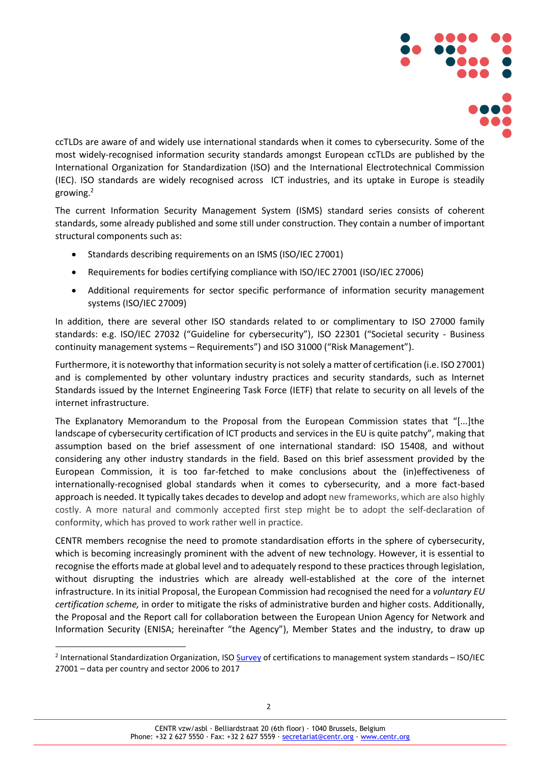

ccTLDs are aware of and widely use international standards when it comes to cybersecurity. Some of the most widely-recognised information security standards amongst European ccTLDs are published by the International Organization for Standardization (ISO) and the International Electrotechnical Commission (IEC). ISO standards are widely recognised across ICT industries, and its uptake in Europe is steadily growing.<sup>2</sup>

The current Information Security Management System (ISMS) standard series consists of coherent standards, some already published and some still under construction. They contain a number of important structural components such as:

- Standards describing requirements on an ISMS (ISO/IEC 27001)
- Requirements for bodies certifying compliance with ISO/IEC 27001 (ISO/IEC 27006)
- Additional requirements for sector specific performance of information security management systems (ISO/IEC 27009)

In addition, there are several other ISO standards related to or complimentary to ISO 27000 family standards: e.g. ISO/IEC 27032 ("Guideline for cybersecurity"), ISO 22301 ("Societal security - Business continuity management systems – Requirements") and ISO 31000 ("Risk Management").

Furthermore, it is noteworthy that information security is not solely a matter of certification (i.e. ISO 27001) and is complemented by other voluntary industry practices and security standards, such as Internet Standards issued by the Internet Engineering Task Force (IETF) that relate to security on all levels of the internet infrastructure.

The Explanatory Memorandum to the Proposal from the European Commission states that "[...]the landscape of cybersecurity certification of ICT products and services in the EU is quite patchy", making that assumption based on the brief assessment of one international standard: ISO 15408, and without considering any other industry standards in the field. Based on this brief assessment provided by the European Commission, it is too far-fetched to make conclusions about the (in)effectiveness of internationally-recognised global standards when it comes to cybersecurity, and a more fact-based approach is needed. It typically takes decades to develop and adopt new frameworks, which are also highly costly. A more natural and commonly accepted first step might be to adopt the self-declaration of conformity, which has proved to work rather well in practice.

CENTR members recognise the need to promote standardisation efforts in the sphere of cybersecurity, which is becoming increasingly prominent with the advent of new technology. However, it is essential to recognise the efforts made at global level and to adequately respond to these practices through legislation, without disrupting the industries which are already well-established at the core of the internet infrastructure. In its initial Proposal, the European Commission had recognised the need for a *voluntary EU certification scheme,* in order to mitigate the risks of administrative burden and higher costs. Additionally, the Proposal and the Report call for collaboration between the European Union Agency for Network and Information Security (ENISA; hereinafter "the Agency"), Member States and the industry, to draw up

 $\overline{a}$ 

<sup>&</sup>lt;sup>2</sup> International Standardization Organization, ISO [Survey](https://isotc.iso.org/livelink/livelink?func=ll&objId=18808772&objAction=browse&viewType=1) of certifications to management system standards – ISO/IEC 27001 – data per country and sector 2006 to 2017